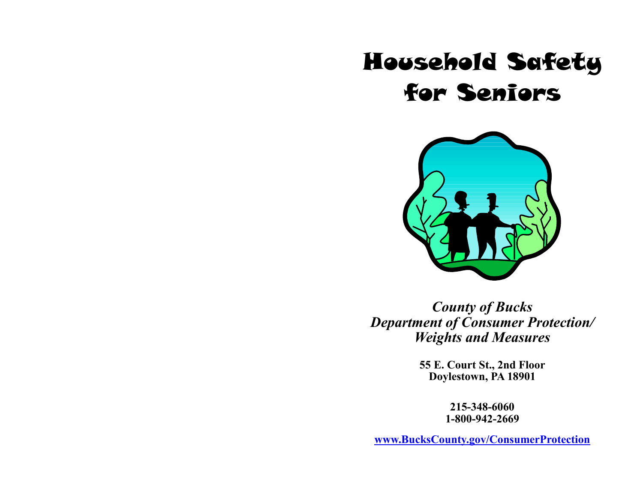# Household Safety for Seniors



*County of Bucks Department of Consumer Protection/ Weights and Measures*

> **55 E. Court St., 2nd Floor Doylestown, PA 18901**

> > **215-348-6060 1-800-942-2669**

**[www.BucksCounty.gov/ConsumerProtection](http://www.buckscounty.org/ConsumerProtection)**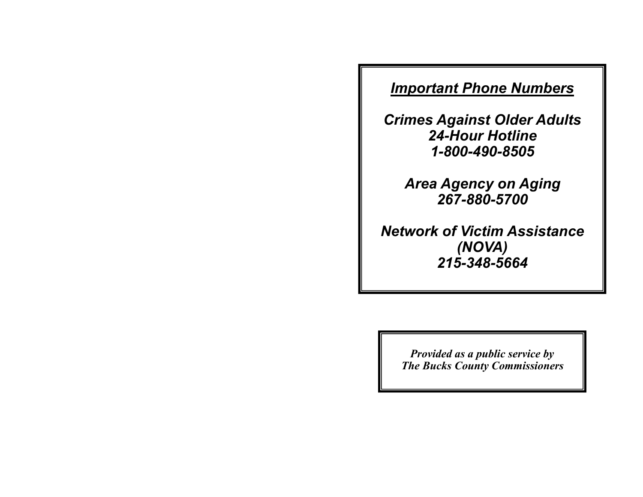# *Important Phone Numbers*

*Crimes Against Older Adults 24-Hour Hotline 1-800-490-8505*

> *Area Agency on Aging 267-880-5700*

*Network of Victim Assistance (NOVA) 215-348-5664*

> *Provided as a public service by The Bucks County Commissioners*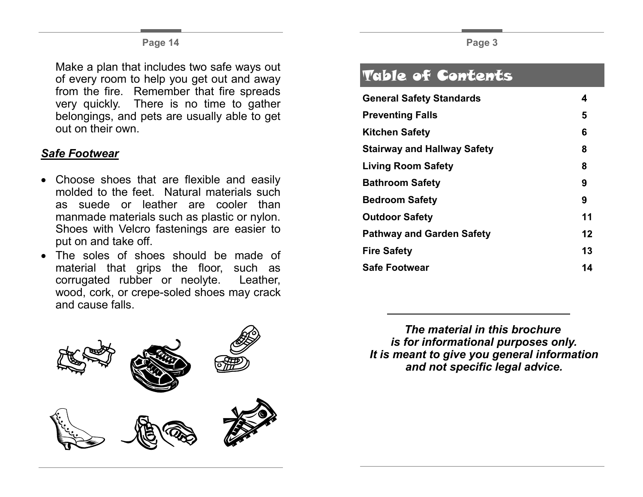#### **Page 14**

Make a plan that includes two safe ways out of every room to help you get out and away from the fire. Remember that fire spreads very quickly. There is no time to gather belongings, and pets are usually able to get out on their own.

### *Safe Footwear*

- Choose shoes that are flexible and easily molded to the feet. Natural materials such as suede or leather are cooler than manmade materials such as plastic or nylon. Shoes with Velcro fastenings are easier to put on and take off.
- The soles of shoes should be made of material that grips the floor, such as corrugated rubber or neolyte. Leather, wood, cork, or crepe-soled shoes may crack and cause falls.



# Table of Contents

| 4  |
|----|
| 5  |
| 6  |
| 8  |
| 8  |
| 9  |
| 9  |
| 11 |
| 12 |
| 13 |
| 14 |
|    |

*The material in this brochure is for informational purposes only. It is meant to give you general information and not specific legal advice.*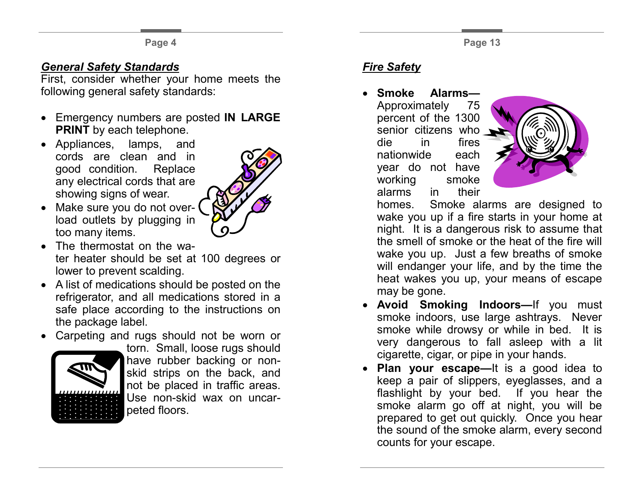#### **Page 4**

## *General Safety Standards*

First, consider whether your home meets the following general safety standards:

- Emergency numbers are posted **IN LARGE PRINT** by each telephone.
- Appliances, lamps, and cords are clean and in good condition. Replace any electrical cords that are showing signs of wear.



- Make sure you do not overload outlets by plugging in too many items.
- The thermostat on the water heater should be set at 100 degrees or lower to prevent scalding.
- A list of medications should be posted on the refrigerator, and all medications stored in a safe place according to the instructions on the package label.
- Carpeting and rugs should not be worn or



torn. Small, loose rugs should have rubber backing or nonskid strips on the back, and not be placed in traffic areas. Use non-skid wax on uncarpeted floors.

## *Fire Safety*

• **Smoke Alarms—**

Approximately 75 percent of the 1300 senior citizens who die in fires nationwide each year do not have working smoke alarms in their



homes. Smoke alarms are designed to wake you up if a fire starts in your home at night. It is a dangerous risk to assume that the smell of smoke or the heat of the fire will wake you up. Just a few breaths of smoke will endanger your life, and by the time the heat wakes you up, your means of escape may be gone.

- **Avoid Smoking Indoors—**If you must smoke indoors, use large ashtrays. Never smoke while drowsy or while in bed. It is very dangerous to fall asleep with a lit cigarette, cigar, or pipe in your hands.
- **Plan your escape—**It is a good idea to keep a pair of slippers, eyeglasses, and a flashlight by your bed. If you hear the smoke alarm go off at night, you will be prepared to get out quickly. Once you hear the sound of the smoke alarm, every second counts for your escape.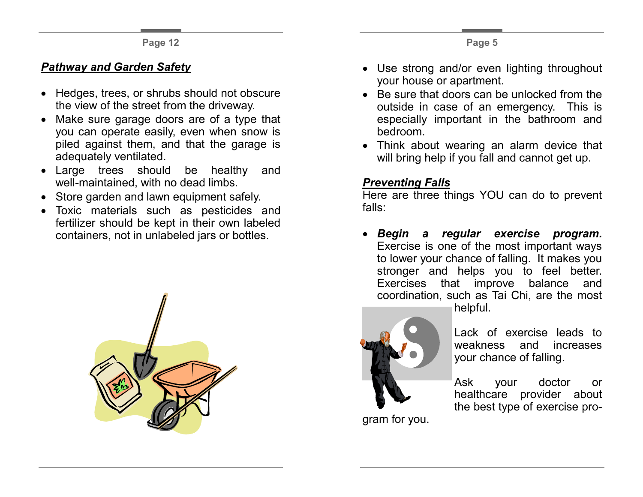## *Pathway and Garden Safety*

- Hedges, trees, or shrubs should not obscure the view of the street from the driveway.
- Make sure garage doors are of a type that you can operate easily, even when snow is piled against them, and that the garage is adequately ventilated.
- Large trees should be healthy and well-maintained, with no dead limbs.
- Store garden and lawn equipment safely.
- Toxic materials such as pesticides and fertilizer should be kept in their own labeled containers, not in unlabeled jars or bottles.



- Use strong and/or even lighting throughout your house or apartment.
- Be sure that doors can be unlocked from the outside in case of an emergency. This is especially important in the bathroom and bedroom.
- Think about wearing an alarm device that will bring help if you fall and cannot get up.

## *Preventing Falls*

Here are three things YOU can do to prevent falls:

• *Begin a regular exercise program.*  Exercise is one of the most important ways to lower your chance of falling. It makes you stronger and helps you to feel better. Exercises that improve balance and coordination, such as Tai Chi, are the most



helpful.

Lack of exercise leads to weakness and increases your chance of falling.

Ask your doctor or healthcare provider about the best type of exercise pro-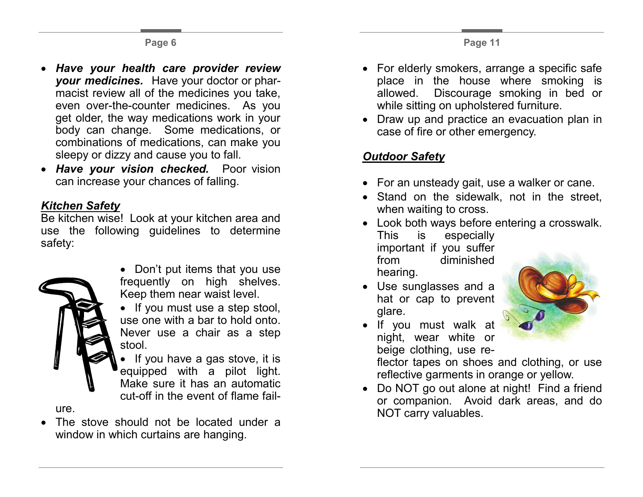- *Have your health care provider review your medicines.* Have your doctor or pharmacist review all of the medicines you take, even over-the-counter medicines. As you get older, the way medications work in your body can change. Some medications, or combinations of medications, can make you sleepy or dizzy and cause you to fall.
- *Have your vision checked.* Poor vision can increase your chances of falling.

#### *Kitchen Safety*

Be kitchen wise! Look at your kitchen area and use the following guidelines to determine safety:



- Don't put items that you use frequently on high shelves. Keep them near waist level.
- If you must use a step stool. use one with a bar to hold onto. Never use a chair as a step stool.
- If you have a gas stove, it is equipped with a pilot light. Make sure it has an automatic cut-off in the event of flame fail-

ure.

• The stove should not be located under a window in which curtains are hanging.

- For elderly smokers, arrange a specific safe place in the house where smoking is allowed. Discourage smoking in bed or while sitting on upholstered furniture.
- Draw up and practice an evacuation plan in case of fire or other emergency.

## *Outdoor Safety*

- For an unsteady gait, use a walker or cane.
- Stand on the sidewalk, not in the street, when waiting to cross.
- Look both ways before entering a crosswalk. This is especially important if you suffer from diminished hearing.
- Use sunglasses and a hat or cap to prevent glare.



• If you must walk at night, wear white or beige clothing, use re-

flector tapes on shoes and clothing, or use reflective garments in orange or yellow.

• Do NOT go out alone at night! Find a friend or companion. Avoid dark areas, and do NOT carry valuables.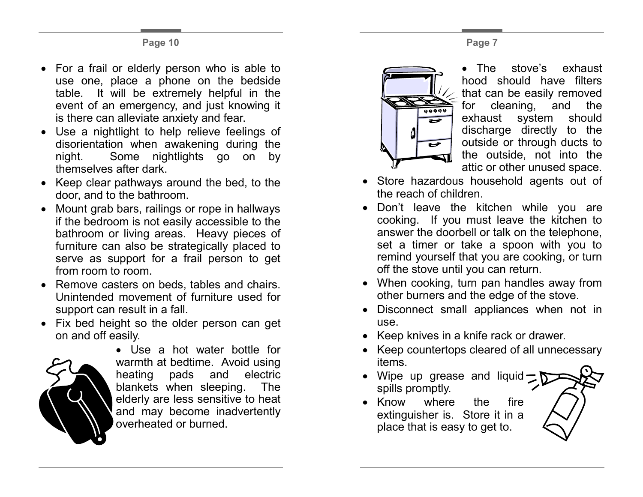- For a frail or elderly person who is able to use one, place a phone on the bedside table. It will be extremely helpful in the event of an emergency, and just knowing it is there can alleviate anxiety and fear.
- Use a nightlight to help relieve feelings of disorientation when awakening during the night. Some nightlights go on by themselves after dark.
- Keep clear pathways around the bed, to the door, and to the bathroom.
- Mount grab bars, railings or rope in hallways if the bedroom is not easily accessible to the bathroom or living areas. Heavy pieces of furniture can also be strategically placed to serve as support for a frail person to get from room to room.
- Remove casters on beds, tables and chairs. Unintended movement of furniture used for support can result in a fall.
- Fix bed height so the older person can get on and off easily.



• Use a hot water bottle for warmth at bedtime. Avoid using heating pads and electric blankets when sleeping. The elderly are less sensitive to heat and may become inadvertently overheated or burned.



The stove's exhaust hood should have filters that can be easily removed for cleaning, and the exhaust system should discharge directly to the outside or through ducts to the outside, not into the attic or other unused space.

- Store hazardous household agents out of the reach of children.
- Don't leave the kitchen while you are cooking. If you must leave the kitchen to answer the doorbell or talk on the telephone, set a timer or take a spoon with you to remind yourself that you are cooking, or turn off the stove until you can return.
- When cooking, turn pan handles away from other burners and the edge of the stove.
- Disconnect small appliances when not in use.
- Keep knives in a knife rack or drawer.
- Keep countertops cleared of all unnecessary items.
- Wipe up grease and liquid spills promptly.
- Know where the fire extinguisher is. Store it in a place that is easy to get to.